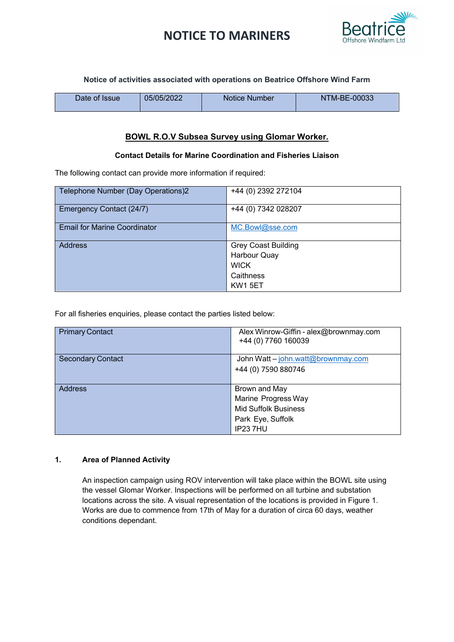# **NOTICE TO MARINERS**



**Notice of activities associated with operations on Beatrice Offshore Wind Farm**

| Date of Issue | 05/05/2022 | Notice Number | NTM-BE-00033 |
|---------------|------------|---------------|--------------|
|               |            |               |              |

# **BOWL R.O.V Subsea Survey using Glomar Worker.**

# **Contact Details for Marine Coordination and Fisheries Liaison**

The following contact can provide more information if required:

| Telephone Number (Day Operations)2  | +44 (0) 2392 272104        |
|-------------------------------------|----------------------------|
| Emergency Contact (24/7)            | +44 (0) 7342 028207        |
| <b>Email for Marine Coordinator</b> | MC.Bowl@sse.com            |
| <b>Address</b>                      | <b>Grey Coast Building</b> |
|                                     | Harbour Quay               |
|                                     | <b>WICK</b>                |
|                                     | Caithness                  |
|                                     | KW1 5ET                    |

For all fisheries enquiries, please contact the parties listed below:

| <b>Primary Contact</b>   | Alex Winrow-Giffin - alex@brownmay.com<br>+44 (0) 7760 160039 |
|--------------------------|---------------------------------------------------------------|
|                          |                                                               |
| <b>Secondary Contact</b> | John Watt - john.watt@brownmay.com                            |
|                          | +44 (0) 7590 880746                                           |
|                          |                                                               |
| <b>Address</b>           | Brown and May                                                 |
|                          | Marine Progress Way                                           |
|                          | <b>Mid Suffolk Business</b>                                   |
|                          | Park Eye, Suffolk                                             |
|                          | IP237HU                                                       |

#### **1. Area of Planned Activity**

An inspection campaign using ROV intervention will take place within the BOWL site using the vessel Glomar Worker. Inspections will be performed on all turbine and substation locations across the site. A visual representation of the locations is provided in Figure 1. Works are due to commence from 17th of May for a duration of circa 60 days, weather conditions dependant.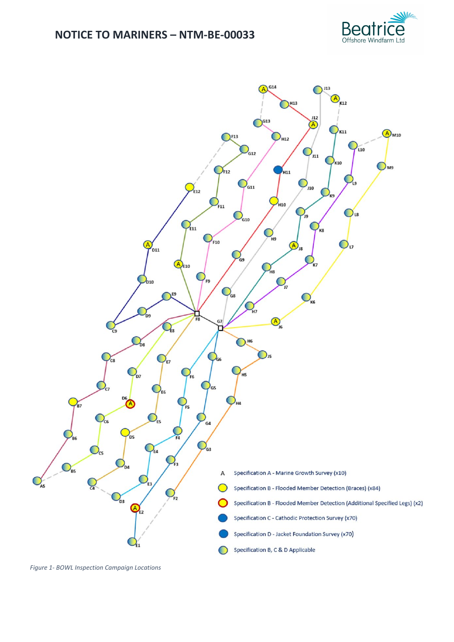



*Figure 1- BOWL Inspection Campaign Locations*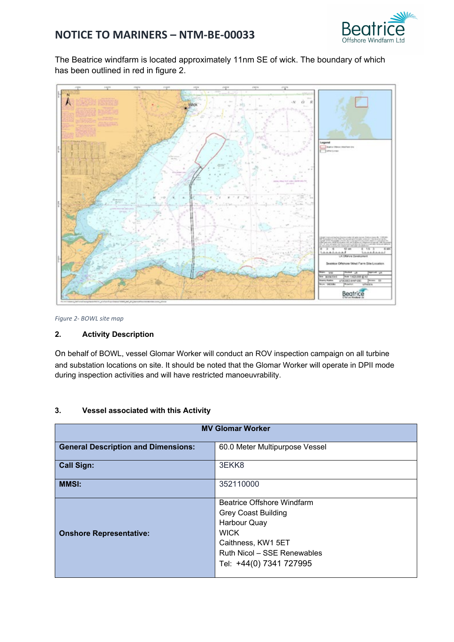

The Beatrice windfarm is located approximately 11nm SE of wick. The boundary of which has been outlined in red in figure 2.



*Figure 2- BOWL site map* 

# **2. Activity Description**

On behalf of BOWL, vessel Glomar Worker will conduct an ROV inspection campaign on all turbine and substation locations on site. It should be noted that the Glomar Worker will operate in DPII mode during inspection activities and will have restricted manoeuvrability.

# **3. Vessel associated with this Activity**

| <b>MV Glomar Worker</b>                    |                                                                                                                                                                         |  |  |
|--------------------------------------------|-------------------------------------------------------------------------------------------------------------------------------------------------------------------------|--|--|
| <b>General Description and Dimensions:</b> | 60.0 Meter Multipurpose Vessel                                                                                                                                          |  |  |
| <b>Call Sign:</b>                          | 3EKK8                                                                                                                                                                   |  |  |
| <b>MMSI:</b>                               | 352110000                                                                                                                                                               |  |  |
| <b>Onshore Representative:</b>             | Beatrice Offshore Windfarm<br><b>Grey Coast Building</b><br>Harbour Quay<br><b>WICK</b><br>Caithness, KW1 5ET<br>Ruth Nicol - SSE Renewables<br>Tel: +44(0) 7341 727995 |  |  |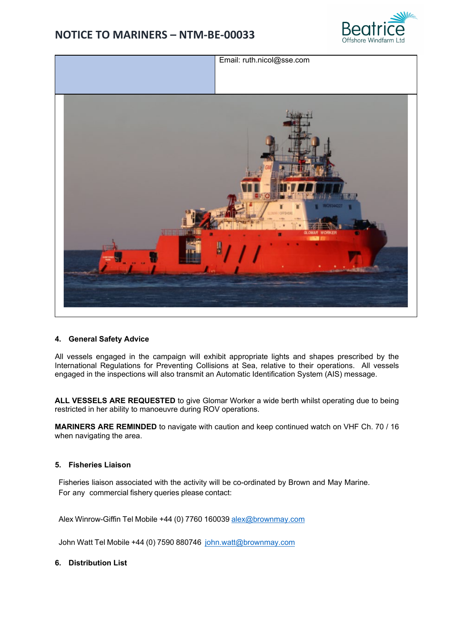# **NOTICE TO MARINERS – NTM-BE-00033**





# **4. General Safety Advice**

All vessels engaged in the campaign will exhibit appropriate lights and shapes prescribed by the International Regulations for Preventing Collisions at Sea, relative to their operations. All vessels engaged in the inspections will also transmit an Automatic Identification System (AIS) message.

**ALL VESSELS ARE REQUESTED** to give Glomar Worker a wide berth whilst operating due to being restricted in her ability to manoeuvre during ROV operations.

**MARINERS ARE REMINDED** to navigate with caution and keep continued watch on VHF Ch. 70 / 16 when navigating the area.

# **5. Fisheries Liaison**

Fisheries liaison associated with the activity will be co-ordinated by Brown and May Marine. For any commercial fishery queries please contact:

Alex Winrow-Giffin Tel Mobile +44 (0) 7760 160039 [alex@brownmay.com](mailto:alex@brownmay.com)

John Watt Tel Mobile +44 (0) 7590 880746 [john.watt@brownmay.com](mailto:john.watt@brownmay.com)

# **6. Distribution List**